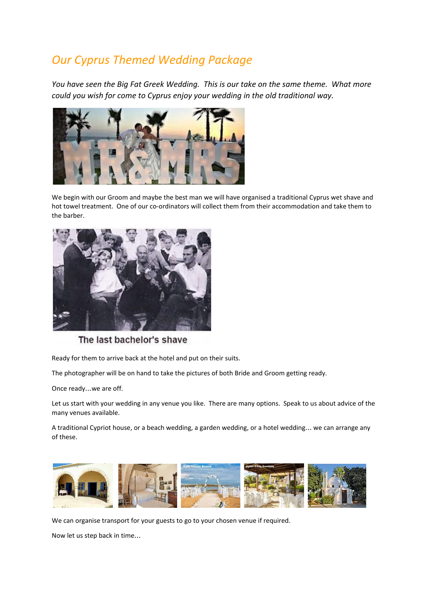# *Our Cyprus Themed Wedding Package*

*You have seen the Big Fat Greek Wedding. This is our take on the same theme. What more could you wish for come to Cyprus enjoy your wedding in the old traditional way.*



We begin with our Groom and maybe the best man we will have organised a traditional Cyprus wet shave and hot towel treatment. One of our co-ordinators will collect them from their accommodation and take them to the barber.



The last bachelor's shave

Ready for them to arrive back at the hotel and put on their suits.

The photographer will be on hand to take the pictures of both Bride and Groom getting ready.

Once ready…we are off.

Let us start with your wedding in any venue you like. There are many options. Speak to us about advice of the many venues available.

A traditional Cypriot house, or a beach wedding, a garden wedding, or a hotel wedding… we can arrange any of these.



We can organise transport for your guests to go to your chosen venue if required.

Now let us step back in time…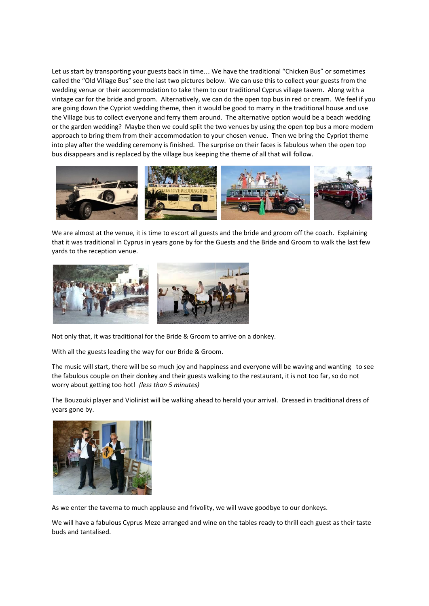Let us start by transporting your guests back in time… We have the traditional "Chicken Bus" or sometimes called the "Old Village Bus" see the last two pictures below. We can use this to collect your guests from the wedding venue or their accommodation to take them to our traditional Cyprus village tavern. Along with a vintage car for the bride and groom. Alternatively, we can do the open top bus in red or cream. We feel if you are going down the Cypriot wedding theme, then it would be good to marry in the traditional house and use the Village bus to collect everyone and ferry them around. The alternative option would be a beach wedding or the garden wedding? Maybe then we could split the two venues by using the open top bus a more modern approach to bring them from their accommodation to your chosen venue. Then we bring the Cypriot theme into play after the wedding ceremony is finished. The surprise on their faces is fabulous when the open top bus disappears and is replaced by the village bus keeping the theme of all that will follow.



We are almost at the venue, it is time to escort all guests and the bride and groom off the coach. Explaining that it was traditional in Cyprus in years gone by for the Guests and the Bride and Groom to walk the last few yards to the reception venue.



Not only that, it was traditional for the Bride & Groom to arrive on a donkey.

With all the guests leading the way for our Bride & Groom.

The music will start, there will be so much joy and happiness and everyone will be waving and wanting to see the fabulous couple on their donkey and their guests walking to the restaurant, it is not too far, so do not worry about getting too hot! *(less than 5 minutes)*

The Bouzouki player and Violinist will be walking ahead to herald your arrival. Dressed in traditional dress of years gone by.



As we enter the taverna to much applause and frivolity, we will wave goodbye to our donkeys.

We will have a fabulous Cyprus Meze arranged and wine on the tables ready to thrill each guest as their taste buds and tantalised.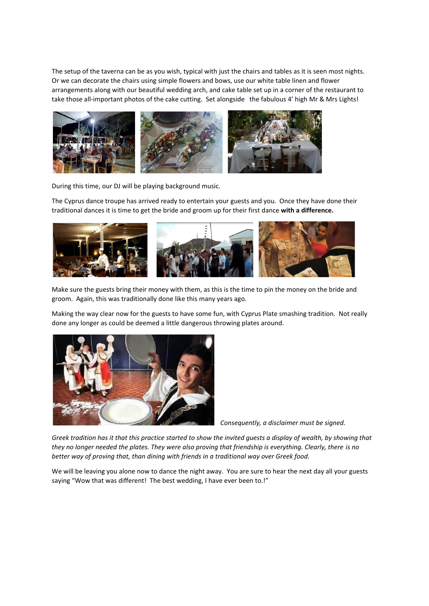The setup of the taverna can be as you wish, typical with just the chairs and tables as it is seen most nights. Or we can decorate the chairs using simple flowers and bows, use our white table linen and flower arrangements along with our beautiful wedding arch, and cake table set up in a corner of the restaurant to take those all-important photos of the cake cutting. Set alongside the fabulous 4' high Mr & Mrs Lights!



During this time, our DJ will be playing background music.

The Cyprus dance troupe has arrived ready to entertain your guests and you. Once they have done their traditional dances it is time to get the bride and groom up for their first dance **with a difference.**



Make sure the guests bring their money with them, as this is the time to pin the money on the bride and groom. Again, this was traditionally done like this many years ago.

Making the way clear now for the guests to have some fun, with Cyprus Plate smashing tradition. Not really done any longer as could be deemed a little dangerous throwing plates around.



*Consequently, a disclaimer must be signed.*

Greek tradition has it that this practice started to show the invited quests a display of wealth, by showing that they no longer needed the plates. They were also proving that friendship is everything. Clearly, there is no *better way of proving that, than dining with friends in a traditional way over Greek food.*

We will be leaving you alone now to dance the night away. You are sure to hear the next day all your guests saying "Wow that was different! The best wedding, I have ever been to.!"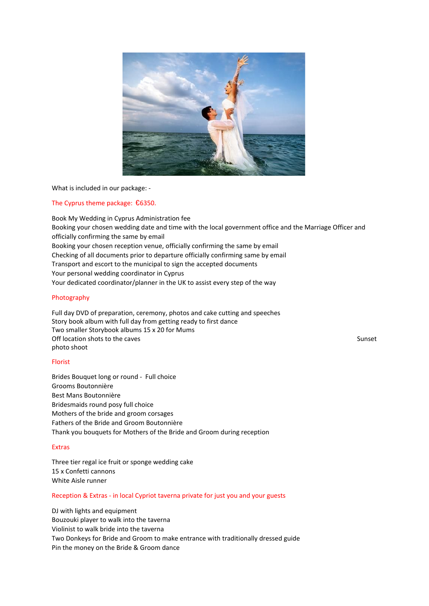

What is included in our package: -

### The Cyprus theme package: €6350.

Book My Wedding in Cyprus Administration fee Booking your chosen wedding date and time with the local government office and the Marriage Officer and officially confirming the same by email Booking your chosen reception venue, officially confirming the same by email Checking of all documents prior to departure officially confirming same by email Transport and escort to the municipal to sign the accepted documents Your personal wedding coordinator in Cyprus Your dedicated coordinator/planner in the UK to assist every step of the way

### Photography

Full day DVD of preparation, ceremony, photos and cake cutting and speeches Story book album with full day from getting ready to first dance Two smaller Storybook albums 15 x 20 for Mums Off location shots to the caves Sunset Sunset Sunset Sunset Sunset Sunset Sunset Sunset Sunset Sunset Sunset Sunset Sunset Sunset Sunset Sunset Sunset Sunset Sunset Sunset Sunset Sunset Sunset Sunset Sunset Sunset Sunset S photo shoot

### Florist

Brides Bouquet long or round - Full choice Grooms Boutonnière Best Mans Boutonnière Bridesmaids round posy full choice Mothers of the bride and groom corsages Fathers of the Bride and Groom Boutonnière Thank you bouquets for Mothers of the Bride and Groom during reception

#### Extras

Three tier regal ice fruit or sponge wedding cake 15 x Confetti cannons White Aisle runner

### Reception & Extras - in local Cypriot taverna private for just you and your guests

DJ with lights and equipment Bouzouki player to walk into the taverna Violinist to walk bride into the taverna Two Donkeys for Bride and Groom to make entrance with traditionally dressed guide Pin the money on the Bride & Groom dance